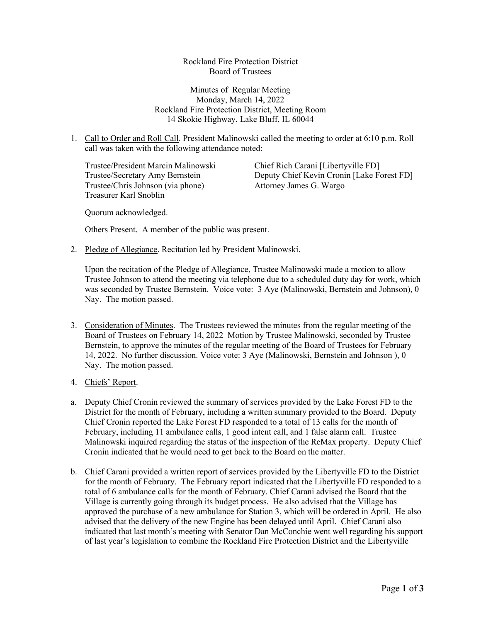Rockland Fire Protection District Board of Trustees

Minutes of Regular Meeting Monday, March 14, 2022 Rockland Fire Protection District, Meeting Room 14 Skokie Highway, Lake Bluff, IL 60044

1. Call to Order and Roll Call. President Malinowski called the meeting to order at 6:10 p.m. Roll call was taken with the following attendance noted:

Trustee/President Marcin Malinowski Chief Rich Carani [Libertyville FD] Trustee/Chris Johnson (via phone) Attorney James G. Wargo Treasurer Karl Snoblin

Trustee/Secretary Amy Bernstein Deputy Chief Kevin Cronin [Lake Forest FD]

Quorum acknowledged.

Others Present. A member of the public was present.

2. Pledge of Allegiance. Recitation led by President Malinowski.

Upon the recitation of the Pledge of Allegiance, Trustee Malinowski made a motion to allow Trustee Johnson to attend the meeting via telephone due to a scheduled duty day for work, which was seconded by Trustee Bernstein. Voice vote: 3 Aye (Malinowski, Bernstein and Johnson), 0 Nay. The motion passed.

- 3. Consideration of Minutes. The Trustees reviewed the minutes from the regular meeting of the Board of Trustees on February 14, 2022 Motion by Trustee Malinowski, seconded by Trustee Bernstein, to approve the minutes of the regular meeting of the Board of Trustees for February 14, 2022. No further discussion. Voice vote: 3 Aye (Malinowski, Bernstein and Johnson ), 0 Nay. The motion passed.
- 4. Chiefs' Report.
- a. Deputy Chief Cronin reviewed the summary of services provided by the Lake Forest FD to the District for the month of February, including a written summary provided to the Board. Deputy Chief Cronin reported the Lake Forest FD responded to a total of 13 calls for the month of February, including 11 ambulance calls, 1 good intent call, and 1 false alarm call. Trustee Malinowski inquired regarding the status of the inspection of the ReMax property. Deputy Chief Cronin indicated that he would need to get back to the Board on the matter.
- b. Chief Carani provided a written report of services provided by the Libertyville FD to the District for the month of February. The February report indicated that the Libertyville FD responded to a total of 6 ambulance calls for the month of February. Chief Carani advised the Board that the Village is currently going through its budget process. He also advised that the Village has approved the purchase of a new ambulance for Station 3, which will be ordered in April. He also advised that the delivery of the new Engine has been delayed until April. Chief Carani also indicated that last month's meeting with Senator Dan McConchie went well regarding his support of last year's legislation to combine the Rockland Fire Protection District and the Libertyville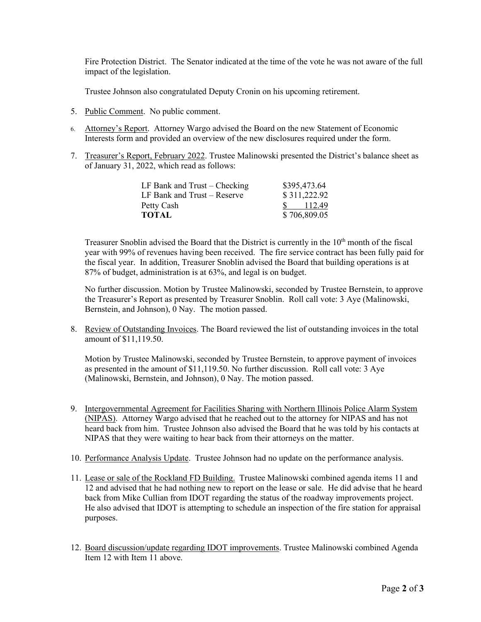Fire Protection District. The Senator indicated at the time of the vote he was not aware of the full impact of the legislation.

Trustee Johnson also congratulated Deputy Cronin on his upcoming retirement.

- 5. Public Comment. No public comment.
- 6. Attorney's Report. Attorney Wargo advised the Board on the new Statement of Economic Interests form and provided an overview of the new disclosures required under the form.
- 7. Treasurer's Report, February 2022. Trustee Malinowski presented the District's balance sheet as of January 31, 2022, which read as follows:

| LF Bank and $Trust - Checking$ | \$395,473.64 |
|--------------------------------|--------------|
| LF Bank and $Trust - Reserve$  | \$311,222.92 |
| Petty Cash                     | 112.49       |
| <b>TOTAL</b>                   | \$706,809.05 |

Treasurer Snoblin advised the Board that the District is currently in the 10<sup>th</sup> month of the fiscal year with 99% of revenues having been received. The fire service contract has been fully paid for the fiscal year. In addition, Treasurer Snoblin advised the Board that building operations is at 87% of budget, administration is at 63%, and legal is on budget.

No further discussion. Motion by Trustee Malinowski, seconded by Trustee Bernstein, to approve the Treasurer's Report as presented by Treasurer Snoblin. Roll call vote: 3 Aye (Malinowski, Bernstein, and Johnson), 0 Nay. The motion passed.

8. Review of Outstanding Invoices. The Board reviewed the list of outstanding invoices in the total amount of \$11,119.50.

Motion by Trustee Malinowski, seconded by Trustee Bernstein, to approve payment of invoices as presented in the amount of \$11,119.50. No further discussion. Roll call vote: 3 Aye (Malinowski, Bernstein, and Johnson), 0 Nay. The motion passed.

- 9. Intergovernmental Agreement for Facilities Sharing with Northern Illinois Police Alarm System (NIPAS). Attorney Wargo advised that he reached out to the attorney for NIPAS and has not heard back from him. Trustee Johnson also advised the Board that he was told by his contacts at NIPAS that they were waiting to hear back from their attorneys on the matter.
- 10. Performance Analysis Update. Trustee Johnson had no update on the performance analysis.
- 11. Lease or sale of the Rockland FD Building. Trustee Malinowski combined agenda items 11 and 12 and advised that he had nothing new to report on the lease or sale. He did advise that he heard back from Mike Cullian from IDOT regarding the status of the roadway improvements project. He also advised that IDOT is attempting to schedule an inspection of the fire station for appraisal purposes.
- 12. Board discussion/update regarding IDOT improvements. Trustee Malinowski combined Agenda Item 12 with Item 11 above.